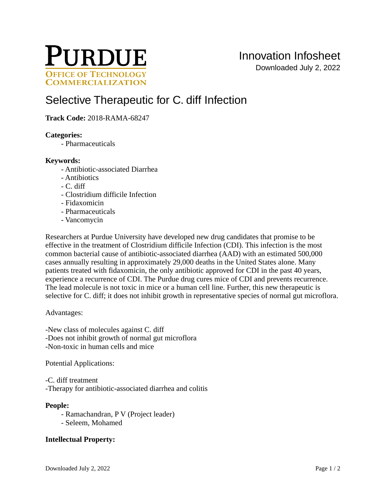

# [Selective Therapeutic for C. diff Infection](https://inventions.prf.org/innovation/6850)

# **Track Code:** 2018-RAMA-68247

#### **Categories:**

- Pharmaceuticals

#### **Keywords:**

- Antibiotic-associated Diarrhea
- Antibiotics
- $-$  C. diff
- Clostridium difficile Infection
- Fidaxomicin
- Pharmaceuticals
- Vancomycin

Researchers at Purdue University have developed new drug candidates that promise to be effective in the treatment of Clostridium difficile Infection (CDI). This infection is the most common bacterial cause of antibiotic-associated diarrhea (AAD) with an estimated 500,000 cases annually resulting in approximately 29,000 deaths in the United States alone. Many patients treated with fidaxomicin, the only antibiotic approved for CDI in the past 40 years, experience a recurrence of CDI. The Purdue drug cures mice of CDI and prevents recurrence. The lead molecule is not toxic in mice or a human cell line. Further, this new therapeutic is selective for C. diff; it does not inhibit growth in representative species of normal gut microflora.

Advantages:

-New class of molecules against C. diff -Does not inhibit growth of normal gut microflora -Non-toxic in human cells and mice

Potential Applications:

-C. diff treatment -Therapy for antibiotic-associated diarrhea and colitis

## **People:**

- Ramachandran, P V (Project leader)
- Seleem, Mohamed

## **Intellectual Property:**